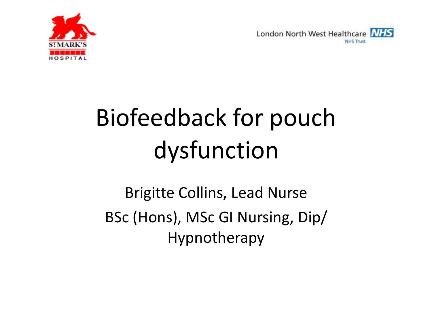



# Biofeedback for pouch dysfunction

Brigitte Collins, Lead Nurse BSc (Hons), MSc GI Nursing, Dip/ Hypnotherapy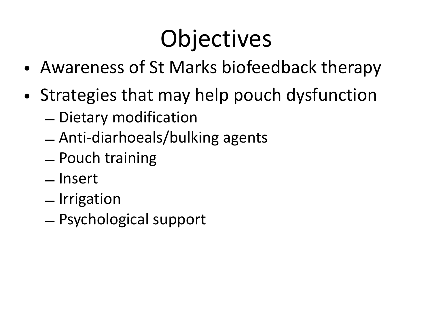## **Objectives**

- Awareness of St Marks biofeedback therapy
- Strategies that may help pouch dysfunction
	- Dietary modification
	- Anti-diarhoeals/bulking agents
	- Pouch training
	- Insert
	- Irrigation
	- Psychological support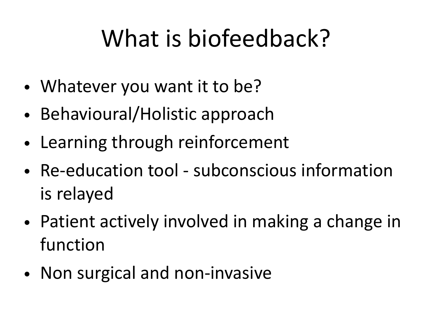## What is biofeedback?

- Whatever you want it to be?
- Behavioural/Holistic approach
- Learning through reinforcement
- Re-education tool subconscious information is relayed
- Patient actively involved in making a change in function
- Non surgical and non-invasive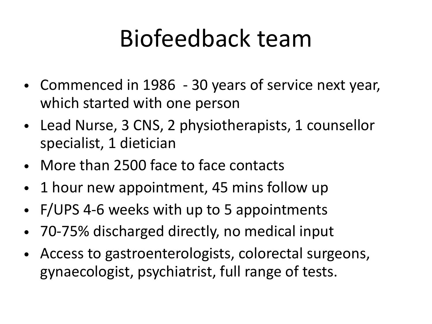#### Biofeedback team

- Commenced in 1986 30 years of service next year, which started with one person
- Lead Nurse, 3 CNS, 2 physiotherapists, 1 counsellor specialist, 1 dietician
- More than 2500 face to face contacts
- 1 hour new appointment, 45 mins follow up
- F/UPS 4-6 weeks with up to 5 appointments
- 70-75% discharged directly, no medical input
- Access to gastroenterologists, colorectal surgeons, gynaecologist, psychiatrist, full range of tests.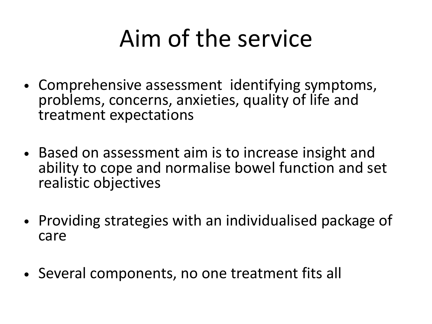## Aim of the service

- Comprehensive assessment identifying symptoms, problems, concerns, anxieties, quality of life and treatment expectations
- Based on assessment aim is to increase insight and ability to cope and normalise bowel function and set realistic objectives
- Providing strategies with an individualised package of care
- Several components, no one treatment fits all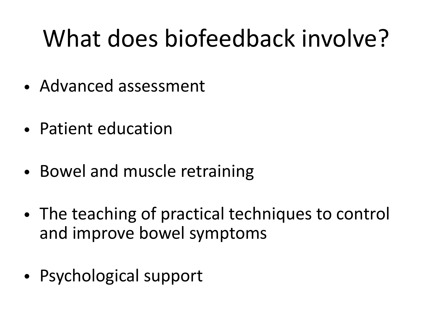## What does biofeedback involve?

- Advanced assessment
- Patient education
- Bowel and muscle retraining
- The teaching of practical techniques to control and improve bowel symptoms
- Psychological support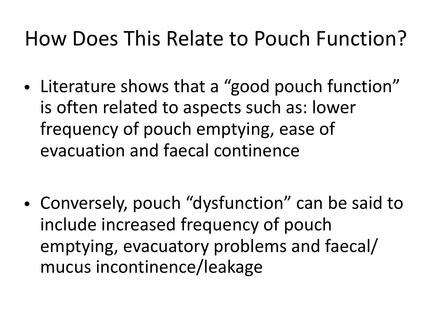#### How Does This Relate to Pouch Function?

- Literature shows that a "good pouch function" is often related to aspects such as: lower frequency of pouch emptying, ease of evacuation and faecal continence
- Conversely, pouch "dysfunction" can be said to include increased frequency of pouch emptying, evacuatory problems and faecal/ mucus incontinence/leakage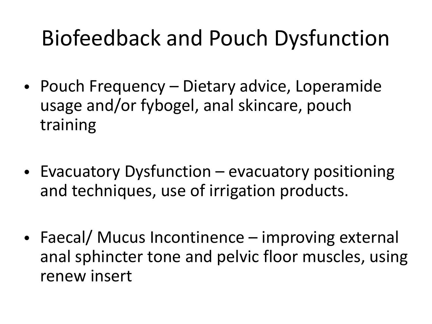#### Biofeedback and Pouch Dysfunction

- Pouch Frequency Dietary advice, Loperamide usage and/or fybogel, anal skincare, pouch training
- Evacuatory Dysfunction evacuatory positioning and techniques, use of irrigation products.
- Faecal/ Mucus Incontinence improving external anal sphincter tone and pelvic floor muscles, using renew insert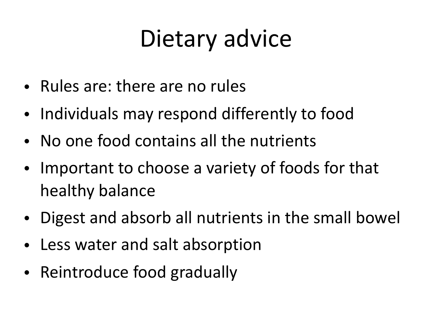### Dietary advice

- Rules are: there are no rules
- Individuals may respond differently to food
- No one food contains all the nutrients
- Important to choose a variety of foods for that healthy balance
- Digest and absorb all nutrients in the small bowel
- Less water and salt absorption
- Reintroduce food gradually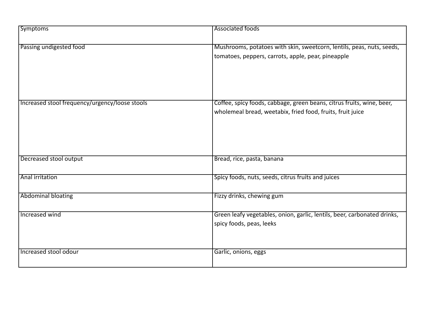| <b>Symptoms</b>                                | Associated foods                                                                                                                    |
|------------------------------------------------|-------------------------------------------------------------------------------------------------------------------------------------|
| Passing undigested food                        | Mushrooms, potatoes with skin, sweetcorn, lentils, peas, nuts, seeds,<br>tomatoes, peppers, carrots, apple, pear, pineapple         |
| Increased stool frequency/urgency/loose stools | Coffee, spicy foods, cabbage, green beans, citrus fruits, wine, beer,<br>wholemeal bread, weetabix, fried food, fruits, fruit juice |
| Decreased stool output                         | Bread, rice, pasta, banana                                                                                                          |
| Anal irritation                                | Spicy foods, nuts, seeds, citrus fruits and juices                                                                                  |
| <b>Abdominal bloating</b>                      | Fizzy drinks, chewing gum                                                                                                           |
| Increased wind                                 | Green leafy vegetables, onion, garlic, lentils, beer, carbonated drinks,<br>spicy foods, peas, leeks                                |
| Increased stool odour                          | Garlic, onions, eggs                                                                                                                |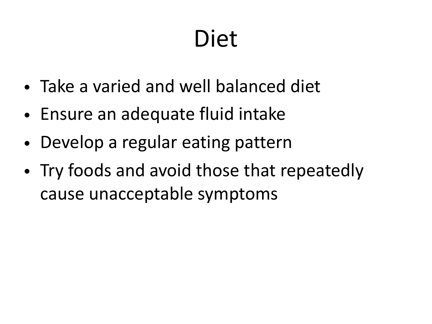### Diet

- Take a varied and well balanced diet
- Ensure an adequate fluid intake
- Develop a regular eating pattern
- Try foods and avoid those that repeatedly cause unacceptable symptoms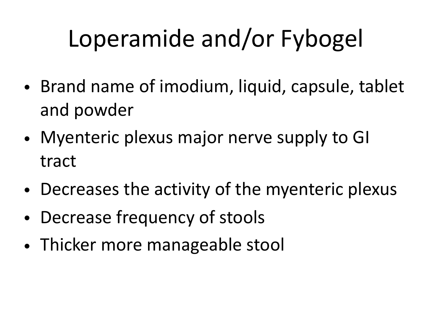## Loperamide and/or Fybogel

- Brand name of imodium, liquid, capsule, tablet and powder
- Myenteric plexus major nerve supply to GI tract
- Decreases the activity of the myenteric plexus
- Decrease frequency of stools
- Thicker more manageable stool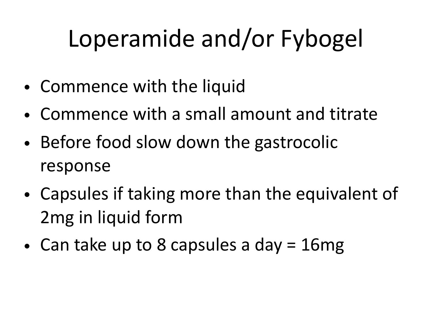## Loperamide and/or Fybogel

- Commence with the liquid
- Commence with a small amount and titrate
- Before food slow down the gastrocolic response
- Capsules if taking more than the equivalent of 2mg in liquid form
- Can take up to 8 capsules a day = 16mg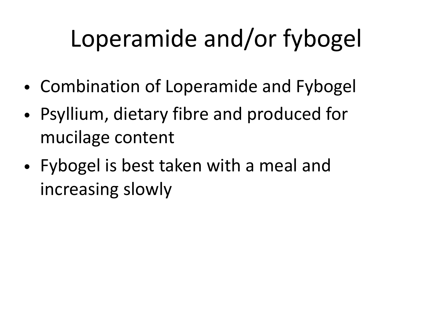## Loperamide and/or fybogel

- Combination of Loperamide and Fybogel
- Psyllium, dietary fibre and produced for mucilage content
- Fybogel is best taken with a meal and increasing slowly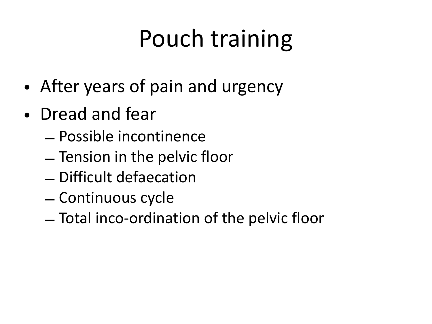## Pouch training

- After years of pain and urgency
- Dread and fear
	- Possible incontinence
	- Tension in the pelvic floor
	- Difficult defaecation
	- Continuous cycle
	- Total inco-ordination of the pelvic floor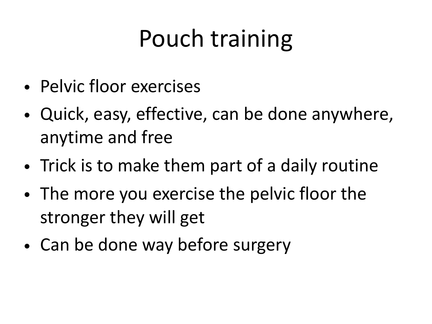## Pouch training

- Pelvic floor exercises
- Quick, easy, effective, can be done anywhere, anytime and free
- Trick is to make them part of a daily routine
- The more you exercise the pelvic floor the stronger they will get
- Can be done way before surgery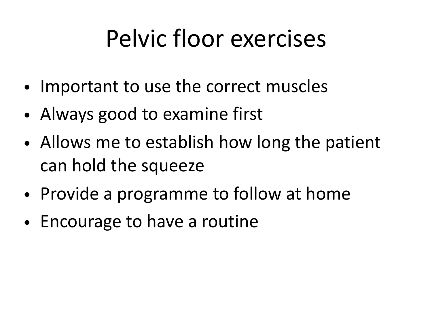## Pelvic floor exercises

- Important to use the correct muscles
- Always good to examine first
- Allows me to establish how long the patient can hold the squeeze
- Provide a programme to follow at home
- Encourage to have a routine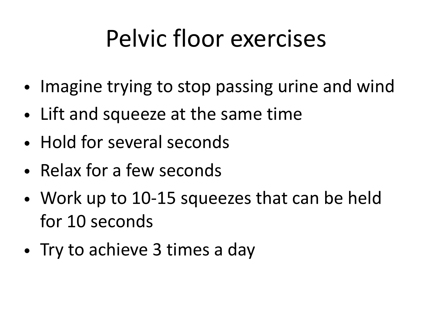## Pelvic floor exercises

- Imagine trying to stop passing urine and wind
- Lift and squeeze at the same time
- Hold for several seconds
- Relax for a few seconds
- Work up to 10-15 squeezes that can be held for 10 seconds
- Try to achieve 3 times a day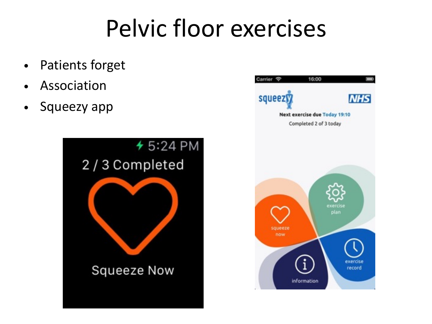#### Pelvic floor exercises

- Patients forget
- Association
- Squeezy app



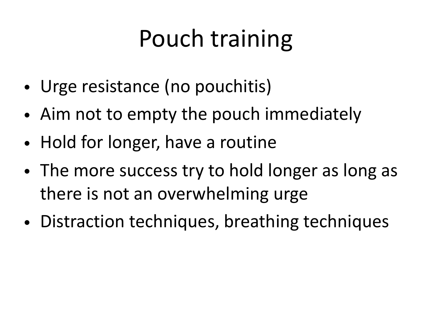## Pouch training

- Urge resistance (no pouchitis)
- Aim not to empty the pouch immediately
- Hold for longer, have a routine
- The more success try to hold longer as long as there is not an overwhelming urge
- Distraction techniques, breathing techniques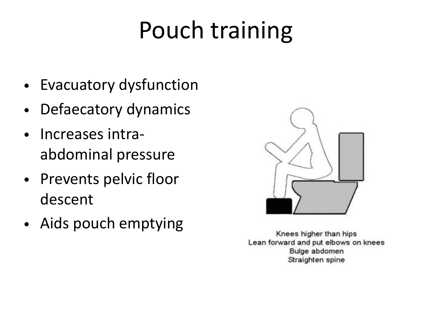## Pouch training

- Evacuatory dysfunction
- Defaecatory dynamics
- Increases intraabdominal pressure
- Prevents pelvic floor descent
- Aids pouch emptying



Knees higher than hips Lean forward and put elbows on knees Bulge abdomen Straighten spine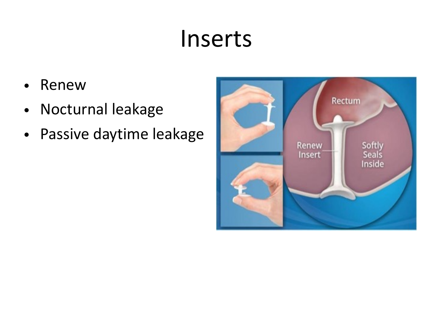#### Inserts

- Renew
- Nocturnal leakage
- Passive daytime leakage

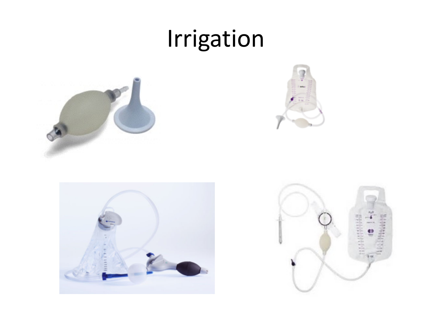#### Irrigation







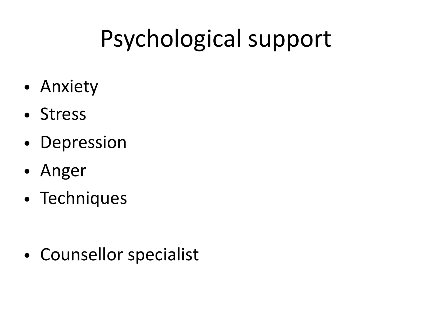## Psychological support

- Anxiety
- Stress
- Depression
- Anger
- Techniques

• Counsellor specialist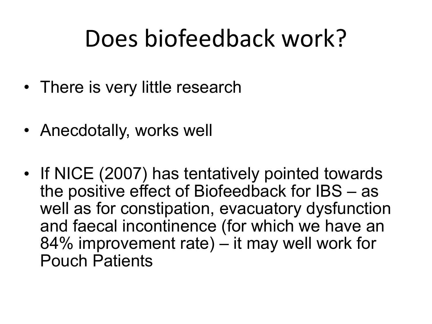#### Does biofeedback work?

- There is very little research
- Anecdotally, works well
- If NICE (2007) has tentatively pointed towards the positive effect of Biofeedback for IBS – as well as for constipation, evacuatory dysfunction and faecal incontinence (for which we have an 84% improvement rate) – it may well work for Pouch Patients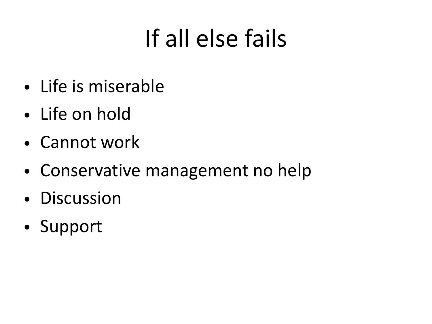## If all else fails

- Life is miserable
- Life on hold
- Cannot work
- Conservative management no help
- Discussion
- Support